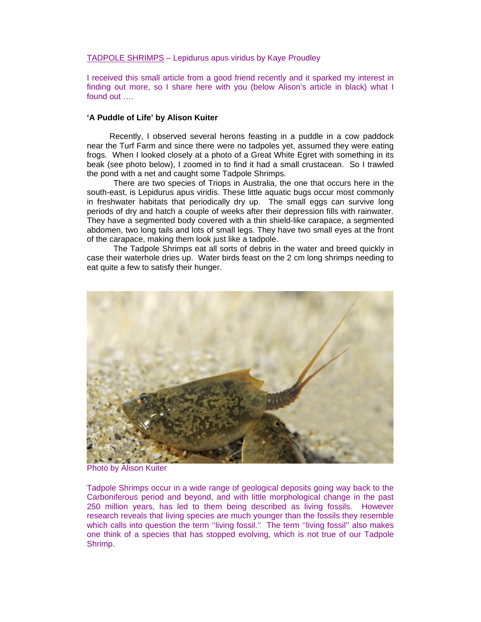## TADPOLE SHRIMPS – Lepidurus apus viridus by Kaye Proudley

I received this small article from a good friend recently and it sparked my interest in finding out more, so I share here with you (below Alison's article in black) what I found out ….

## **'A Puddle of Life' by Alison Kuiter**

 Recently, I observed several herons feasting in a puddle in a cow paddock near the Turf Farm and since there were no tadpoles yet, assumed they were eating frogs. When I looked closely at a photo of a Great White Egret with something in its beak (see photo below), I zoomed in to find it had a small crustacean. So I trawled the pond with a net and caught some Tadpole Shrimps.

There are two species of Triops in Australia, the one that occurs here in the south-east, is Lepidurus apus viridis. These little aquatic bugs occur most commonly in freshwater habitats that periodically dry up. The small eggs can survive long periods of dry and hatch a couple of weeks after their depression fills with rainwater. They have a segmented body covered with a thin shield-like carapace, a segmented abdomen, two long tails and lots of small legs. They have two small eyes at the front of the carapace, making them look just like a tadpole.

The Tadpole Shrimps eat all sorts of debris in the water and breed quickly in case their waterhole dries up. Water birds feast on the 2 cm long shrimps needing to eat quite a few to satisfy their hunger.



Photo by Alison Kuiter

Tadpole Shrimps occur in a wide range of geological deposits going way back to the Carboniferous period and beyond, and with little morphological change in the past 250 million years, has led to them being described as living fossils. However research reveals that living species are much younger than the fossils they resemble which calls into question the term "living fossil." The term "living fossil" also makes one think of a species that has stopped evolving, which is not true of our Tadpole Shrimp.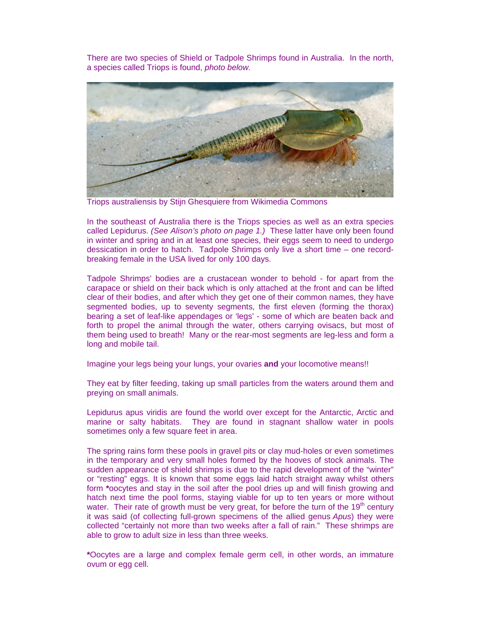There are two species of Shield or Tadpole Shrimps found in Australia. In the north, a species called Triops is found, *photo below.*



Triops australiensis by Stijn Ghesquiere from Wikimedia Commons

In the southeast of Australia there is the Triops species as well as an extra species called Lepidurus. *(See Alison's photo on page 1.)* These latter have only been found in winter and spring and in at least one species, their eggs seem to need to undergo dessication in order to hatch. Tadpole Shrimps only live a short time – one recordbreaking female in the USA lived for only 100 days.

Tadpole Shrimps' bodies are a crustacean wonder to behold - for apart from the carapace or shield on their back which is only attached at the front and can be lifted clear of their bodies, and after which they get one of their common names, they have segmented bodies, up to seventy segments, the first eleven (forming the thorax) bearing a set of leaf-like appendages or 'legs' - some of which are beaten back and forth to propel the animal through the water, others carrying ovisacs, but most of them being used to breath! Many or the rear-most segments are leg-less and form a long and mobile tail.

Imagine your legs being your lungs, your ovaries **and** your locomotive means!!

They eat by filter feeding, taking up small particles from the waters around them and preying on small animals.

Lepidurus apus viridis are found the world over except for the Antarctic, Arctic and marine or salty habitats.They are found in stagnant shallow water in pools sometimes only a few square feet in area.

The spring rains form these pools in gravel pits or clay mud-holes or even sometimes in the temporary and very small holes formed by the hooves of stock animals. The sudden appearance of shield shrimps is due to the rapid development of the "winter" or "resting" eggs. It is known that some eggs laid hatch straight away whilst others form **\***oocytes and stay in the soil after the pool dries up and will finish growing and hatch next time the pool forms, staying viable for up to ten years or more without water. Their rate of growth must be very great, for before the turn of the  $19<sup>th</sup>$  century it was said (of collecting full-grown specimens of the allied genus *Apus*) they were collected "certainly not more than two weeks after a fall of rain." These shrimps are able to grow to adult size in less than three weeks.

**\***Oocytes are a large and complex female germ cell, in other words, an immature ovum or egg cell.